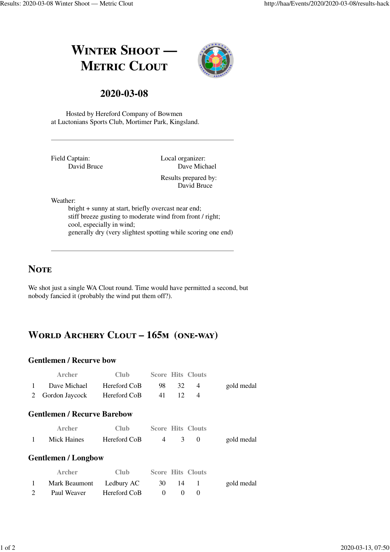# **WINTER SHOOT** — **METRIC CLOUT**



### **2020-03-08**

Hosted by Hereford Company of Bowmen at Luctonians Sports Club, Mortimer Park, Kingsland.

Field Captain: David Bruce Local organizer: Dave Michael Results prepared by: David Bruce

Weather:

bright + sunny at start, briefly overcast near end; stiff breeze gusting to moderate wind from front / right; cool, especially in wind; generally dry (very slightest spotting while scoring one end)

### **NOTE**

We shot just a single WA Clout round. Time would have permitted a second, but nobody fancied it (probably the wind put them off?).

# WORLD ARCHERY CLOUT - 165M (ONE-WAY)

#### **Gentlemen / Recurve bow**

|           | <b>Archer</b>                 | Club -       |       |    | <b>Score Hits Clouts</b> |            |
|-----------|-------------------------------|--------------|-------|----|--------------------------|------------|
| $1 \quad$ | Dave Michael                  | Hereford CoB | -98 - | 32 |                          | gold medal |
|           | 2 Gordon Jaycock Hereford CoB |              | 41    |    |                          |            |

#### **Gentlemen / Recurve Barebow**

| Archer      | Club         |  | <b>Score Hits Clouts</b> |            |
|-------------|--------------|--|--------------------------|------------|
| Mick Haines | Hereford CoB |  |                          | gold medal |

#### **Gentlemen / Longbow**

| <b>Archer</b>            | Club         |       | <b>Score Hits Clouts</b> |            |
|--------------------------|--------------|-------|--------------------------|------------|
| Mark Beaumont Ledbury AC |              | 30 14 |                          | gold medal |
| Paul Weaver              | Hereford CoB |       |                          |            |